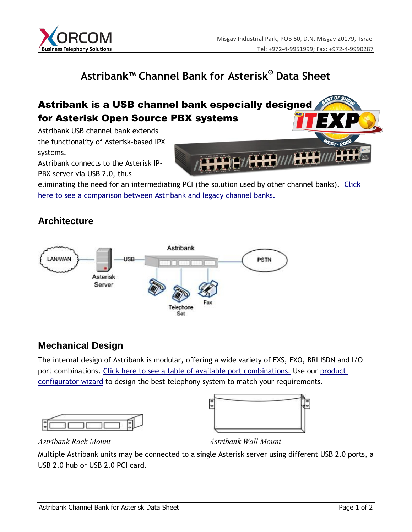

# **Astribank™ Channel Bank for Asterisk® Data Sheet**

## Astribank is a USB channel bank especially designed for Asterisk Open Source PBX systems

Astribank USB channel bank extends the functionality of Asterisk-based IPX systems.

Astribank connects to the Asterisk IP-

PBX server via USB 2.0, thus

eliminating the need for an intermediating PCI (the solution used by other channel banks). Click here to see a comparison between Astribank and legacy channel banks.

#### **Architecture**



#### **Mechanical Design**

The internal design of Astribank is modular, offering a wide variety of FXS, FXO, BRI ISDN and I/O port combinations. Click here to see a table of available port combinations. Use our product configurator wizard to design the best telephony system to match your requirements.





*Astribank Rack Mount Astribank Wall Mount* 

Multiple Astribank units may be connected to a single Asterisk server using different USB 2.0 ports, a USB 2.0 hub or USB 2.0 PCI card.